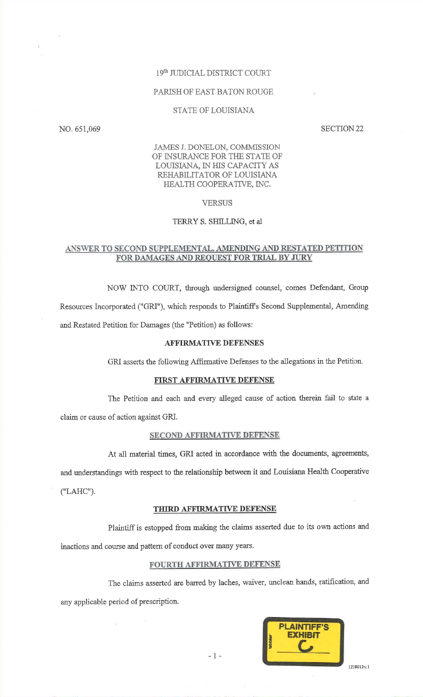## 19th JUDICIAL DISTRICT COURT

#### PARISH OF EAST BATON ROUGE

## STATE OF LOUISIANA

NO.651,069

SECTION 22

# JAMES J. DONELON, COMMISSION OF INSURANCE FOR THE STATE OF LOUISIANA, IN HIS CAPACITY AS REHABiLITATOR OF LOUISIANA}IEALTH COOPERATIVE, [NC.

#### **VERSUS**

## TERRY S. SHILLING, et al

## ANSWER TO SECOND SUPPLEMENTAL, AMENDING AND RESTATED PETITION FOR DAMAGES AND REQUEST FOR TRIAL BY JURY

NOW INTO COURT, through undersigned counsel, comes Defendant, GroupResources Incorporated (''GRI"), which responds to Plaintiffs Second Supplemental, Amendingand Restated Petition for Damages (the "Petition) as follows:

# AFFIRMATIVE DEFENSES

GRI asserts the following Affirmative Defenses to the allegations in the Petition.

### FIRST AFFIRMATIVE DEFENSE

The Petition and each and every alleged cause of action therein fail to state aclaim or cause of action against GRI.

#### SECOND AFFIRMATIVE DEFENSE

At all material times, GRI acted in accordance with the documents, agreements,

and understandings with respect to the relationship between it and Louisiana Health Cooperative

("LAHC").

# THIRD AFFIRMATIVE DEFENSE

Plaintiff is estopped from making the claims asserted due to its own actions andinactions and course and pattern of conduct over many years.

#### FOURTH AFFIRMATIVE DEFENSE

The claims asserted are barred by laches, waiver, unclean hands, ratification, and any appiicable period of prescription.



-1-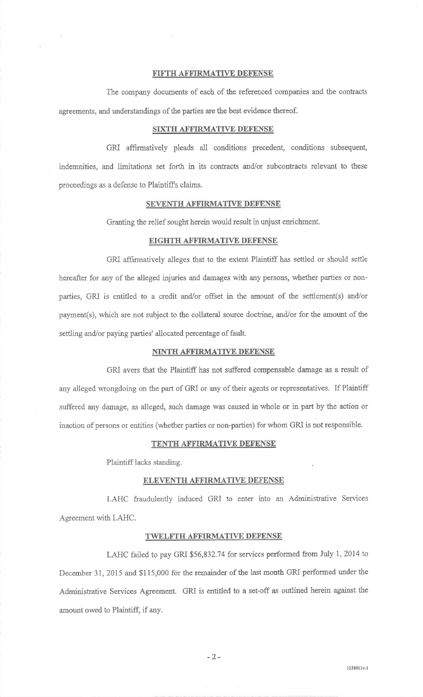## FIFTH AFFIRMATIVE DEFENSE

The company documents of each of the referenced companies and the contracts agreements, and understandings of the parties are the best evidence thereof.

# SIXTH AFFIRMATIVE DEFENSE

GRI affirmatively pleads all conditions precedent, conditions subsequent indemnities, and limitations set forth in its contacts and/or subcontracts relevant to theseproceedings as a defense to Plaintiffs claims.

#### SEVENTH AFFIRMATIVE DEFENSE

Granting the relief sought herein would result in unjust enrichment.

## EIGHTH AFFIRMATWE DEFENSE

GRI affirmatively alleges that to the extent Plaintiff has settled or should settlehereafter for any of the alleged injuries and damages with any persons, whether parties or nonparties, GRI is entitled to a credit and/or offset in the amount of the settlement(s) and/orpayment(s), which are not subject to the collateral source doctrine, and/or for the amount of the settling and/or paying parties' allocated percentage of fault.

#### NINTH AFFIRMATIVE DEFENSE

GRI avers that the Plaintiff has not suffered compensable damage as a result ofany aileged wrongdoing on the part of GRI or any of their agents or representatives. If Plaintiffsuffered any damage, as alleged, such damage was caused in whole or in part by the action or inaction of persons or entities (whether parties or non-parties) for whom GRI is not responsibie.

### TENTH AFFIRMATIVE DEFENSE

Plaintiff lacks standing

### ELEVENTH AFFIRMATIVE DEFENSE

LAHC fraudulently induced GRI to enter into an Administrative ServicesAgreement with LAHC.

#### TWELFTH AFFIRMATIVE DEFENSE

LAHC failed to pay GRI \$56,832.74 for services performed from July 1, 2014 to December 31,2015 and \$115,000 for the remainder of the last month GRI performed under theAdministrative Services Agreement. GRI is entitled to a set-off as outlined herein against theamount owed to Plaintiff, if any.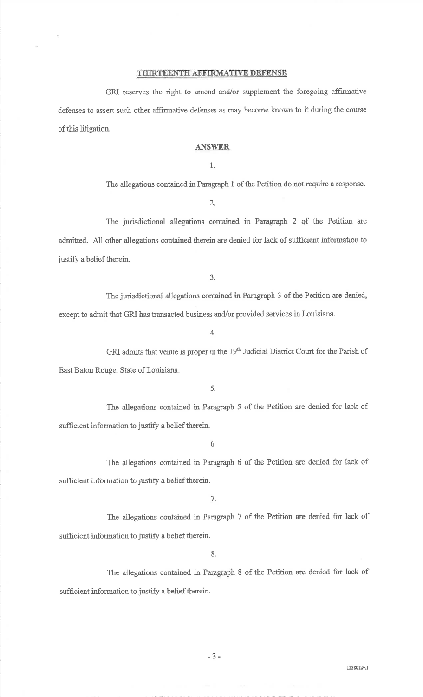## THIRTEENTH AFFIRMATIVE DEFENSE

GRI reserves the right to amend and/or supplement the foregoing affirmative defenses to assert such other affirrnative defenses as may become known to it during the courseof this litigation.

# ANSWER

1.

The allegations contained in Paragraph 1 of the Petition do not require a response.

2.

The jurisdictional allegations contained in Paragraph 2 of the Petition areadmitted. All other allegations contained therein are denied for lack of sufficient information tojustify a belief therein.

3.

The jurisdictional allegations contained in Paragraph 3 of the Petition are denied, except to admit that GRI has transacted business and/or provided services in Louisiana.

4.

GRI admits that venue is proper in the 19<sup>th</sup> Judicial District Court for the Parish of East Baton Rouge, State of Louisiana.

5.

The allegations contained in Paragraph 5 of the Fetition are denied for lack ofsufficient inforrnation to justify a belief therein.

6.

The allegations contained in Paragraph 6 of the Petition are denied for lack of sufficient information to justify a belief therein.

7.

The allegations contained in Paragraph 7 of the Petition are denied for lack of sufficient information to justify a belief therein.

8.

The allegations contained in Paragraph 8 of the Petition are denied for lack of sufficient information to justify a belief therein.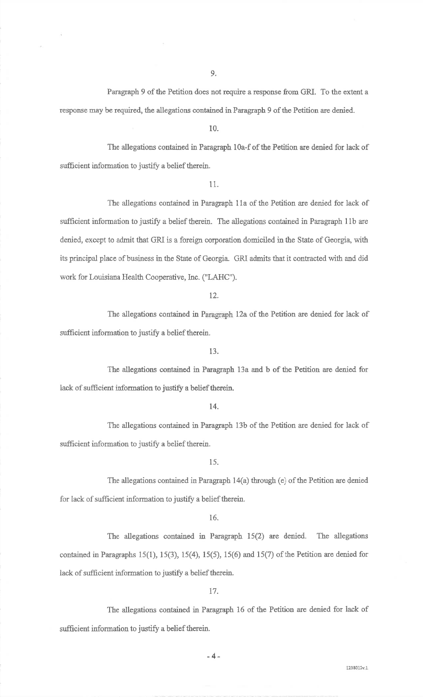Paragraph 9 of the Petition does not require a response from GRI. To the extent aresponse may be required, the allegations contained in Paragraph 9 of the Petition are denied.

10.

The allegations contaiaed in Paragraph 10a-f of the Petition are denied for lack ofsufficient information to justify a belief therein.

11.

The allegations contained in Paragraph 11a of the Petition are denied for lack of sufficient information to justify a belief therein. The allegations contained in Paragraph 11b are denied, except to admit that GRI is a foreign corporation domiciled in the State of Georgia, with its principal place of business in the State of Georgia. GRI admits that it contracted with and didwork for Louisiana Health Cooperative, Inc. ("LAHC").

12.

The allegations contained in Paragraph 12a of the Petition are denied for lack ofsufficient information to justify a belief therein.

13,

The allegations contained in Paragraph 13a and b of the Petition are denied forlack of sufficient information to justify a belief therein.

t4.

The allegations contained in Paragraph 13b of the Petition are denied for lack ofsufficient information to justify a belief therein.

15.

The allegations contained in Paragraph  $14(a)$  through (e) of the Petition are denied for lack of sufficient information to justify a belief therein.

16.

The allegations contained in Paragraph 15(2) are denied. The allegationscontained in Paragraphs 15(1), 15(3), 15(4), 15(5), 15(6) and 15(7) of the Petition are denied for lack of sufficient information to justify a belief therein.

t7.

The allegations contained in Paragraph 16 of the Petition are denied for lack ofsufficient information to justify a belief therein.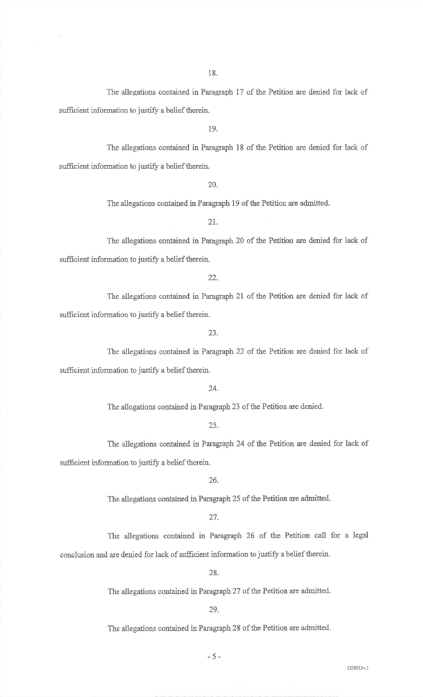The allegations contained in Paragraph 17 of the Petition are denied for lack of sufficient information to justify a belief therein.

19.

The allegations contained in Paragraph 18 of the Petition are denied for lack ofsufficient information to justify a belief therein.

20.

The allegations contained in Paragraph 19 of the Petition are admitted.

21.

The allegations contained in Paragraph 20 of the Petition are denied for lack of sufficient information to justify a belief therein.

22.

The allegations contained in Paragraph 2l af the Petition are denied for lack ofsufficient infomration to justify a belief therein.

23.

The allegations contained in Paragraph 22 of the Petition are denied for lack of sufficient information to justify a belief therein.

24.

The allegations contained in Paragraph 23 of fhe Petition are denied.

25.

The allegations contained in Paragraph 24 of the Petition are denied for lack of sufficient information to justify a belief therein.

26.

The allegations contained in Paragraph 25 of the Petition are admitted.

27.

The allegations contained in Paragraph 26 of the Petition call for a legal conclusion and are denied for lack of sufficient information to justify a belief therein.

28.

The allegations contained in Paragraph 27 of the Petition are admitted.

29.

The allegations contained in Paragraph 28 of the Petition are admitted.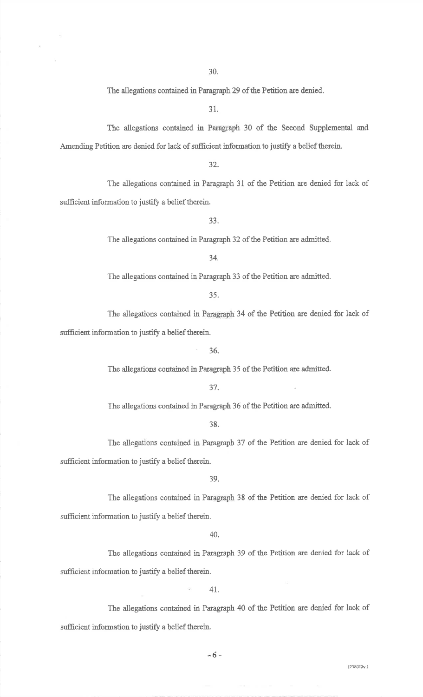The allegations contained in Paragraph 29 of the Petition are denied.

31.

The allegations contained in Paragraph 30 of the Second Supplemental and Amending Petition are denied for lack of sufficient information to justify a belief therein.

32.

The aliegations contained in Paragraph 31 of the Petition are denied for laek ofsufficient information to justify a belief therein.

33.

The allegations contained in Paragraph 32 of the Petition are admitted.

34.

The allegations contained in Paragraph 33 of the Petition are admitted.

35.

The ailegations contained in Paragraph 34 of the Petition are denied for iack ofsufficient information to justify a belief therein.

' 36.

The allegations contained in Paragraph 35 of the Petition are admitted.

37.

The allegations contained in Paragraph 36 of the Petition are admitted.

38.

The allegations contained in Paragraph 37 of the Petition are denied for lack ofsufficient information to justify a belief therein.

39.

The allegations contained in Paragraph 38 of the Petition are denied for lack of sufficient information to justify a belief therein.

40.

The allegations contained in Paragraph 39 of the Petition are denied for lack ofsufficient information to justify a belief therein.

 $\tilde{\alpha}$ 

4t.

The allegations contained in Paragraph 40 of the Petition are denied for lack of sufficient information to justify a belief therein.

-6-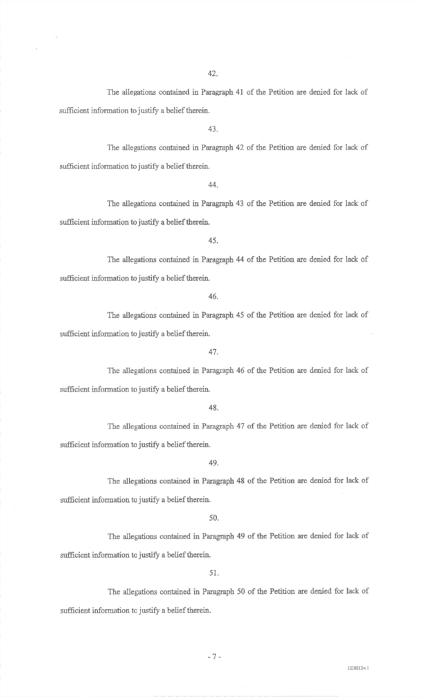The allegations contained in Paragraph 41 of the Petition are denied for lack ofsufficient information to justify a belief therein.

43.

The allegations contained in Paragraph 42 of the Petition are denied for lack ofsufficient inforrnation to justify a belief therein.

44.

The allegations contained in Paragraph 43 of the Petition are denied for lack ofsufficient information to justify a belief therein.

45.

The allegations contained in Faragraph 44 of the Petition are denied for lack ofsufficient information to justify a belief therein.

46.

The allegations contained in Paragraph 45 of the Petition are denied for lack ofsufficient information to justify a belief therein.

47.

The allegations contained in Paragraph 46 of the Petition are denied for lack ofsufficient information to justify a belief therein.

48.

The allegations contained in Paragraph 47 of the Petition are denied for lack of sufficient information to justify a belief therein.

49.

The allegations contained in Paragraph 48 of the Petition are denied for lack of sufficient information to justify a belief therein.

50.

The allegations contained in Paragraph 49 of the Petition are denied for lack of sufficient information to justify a belief therein

51.

The allegations contained in Paragraph 50 of the Petition are denied for lack of sufficient information to justify a belief therein.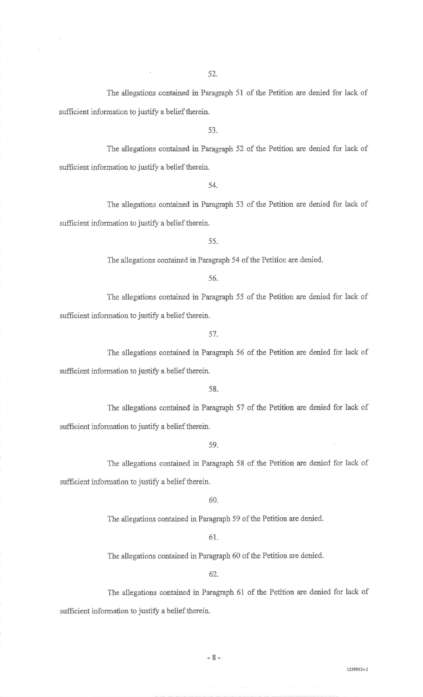The allegations contained in Paragraph 51 of the Petition are denied for lack ofsufficient information to justify a belief therein.

53.

The allegations contained in Paragraph 52 of the Petition are denied for lack of sufficient information to justify a belief therein.

54.

The ailegations contained in Paragraph 53 of the Petition are denied for lack ofsufficient information to justify a belief therein.

55.

The allegations contained in Paragraph 54 of the Petition are denied.

56.

The allegations contained in Paragraph 55 of the Petition are denied for lack ofsufficient information to justify a belief therein.

57.

The allegations contained in Paragraph 56 of the Petition are denied for lack of sufficient information to justify a belief therein.

58.

The allegations contained in Paragraph 57 of the Petition are denied for lack of sufficient information to justify a belief therein.

59.

The allegations contained in Paragraph 58 of the Petition are denied for lack of sufficient information to justify a belief therein.

60.

The allegations contained in Paragraph 59 of the Petition are denied.

61.

The allegations contained in Paragraph 60 of the Petition are denied.

62.

The allegations contained in Paragraph 61 of the Petition are denied for lack of sufficient information to justify a belief therein.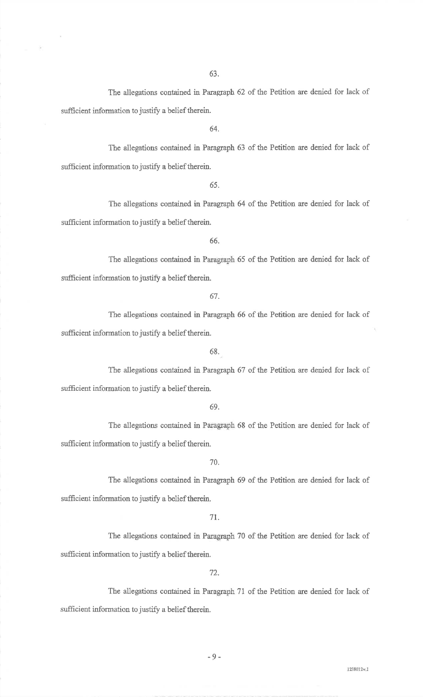The allegations contained in Paragraph 62 of the Petition are denied for lack of sufficient information to justify a belief therein.

64.

The allegations contained in Paragraph 63 of the Petition are denied for lack of sufficient information to justify a belief therein.

65.

The allegations contained in Paragraph 64 of the Petition are denied for lack ofsufficient information to justify a belief therein.

66.

The allegations contained in Paragraph 65 of the Petition are denied for lack ofsufficient information to justify a belief therein.

67-

The allegations contained in Paragraph 66 of the Petition are denied for lack ofsufficient information to justify a belief therein.

68..

The allegations contained in Paragraph 67 of the Petition are denied for lack of sufficient information to justify a belief therein.

69.

The allegations contained in Paragraph 68 of the Petition are denied for lack ofsufficient information to justify a belief therein.

70\_

The allegations contained in Paragraph 69 of the Petition are denied for lack ofsufficient information to justify a belief therein.

71,.

The allegations eontained in Paragraph 70 of the Petition are denied for lack ofsufficient information to justify a belief therein.

72.

The allegations contained in Paragraph 71 of the Petition are denied for lack ofsufficient information to justify a belief therein.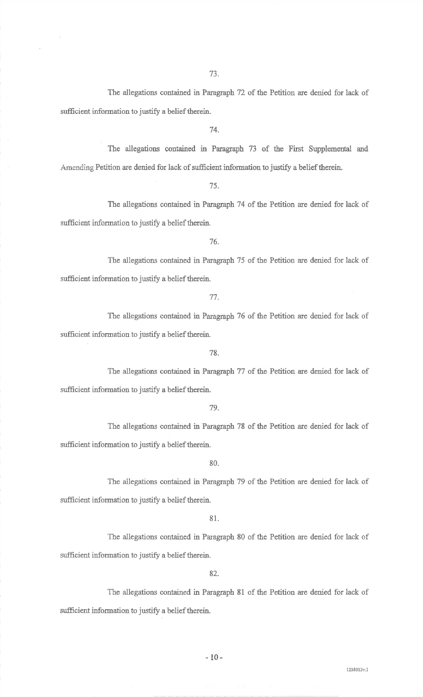The allegations contained in Paragraph 72 of the Petition are denied for lack ofsufficient information to justify a belief therein.

74.

The allegations contained in Paragraph 73 of the First Supplemental and Amending Petition are denied for lack of sufficient information to justify a belief therein.

75.

The allegations contained in Paragraph 74 of the Petition are denied for lack ofsufficient information to justify a belief therein.

76.

The allegations contained in Paragraph 75 of the Petition are denied for lack ofsufficient information to justify a belief therein.

77.

The allegations contained in Paragraph 76 of the Petition are denied for lack of sufficient information to justify a belief therein.

78.

The allegations contained in Paragraph 77 of the Petition are denied for lack of sufficient information to justify a belief therein.

79.

The allegations contained in Paragraph 78 of the Petition are denied for lack ofsufficient information to justify a belief therein.

80.

The allegations contained in Paragraph 79 of the Petition are denied for lack of sufficient information to justify a belief therein.

81.

The allegations contained in Paragraph 80 of the Petition are denied for lack ofsufficient information to justify a belief therein.

82.

The allegations contained in Paragraph 8l of the Petition are denied for lack ofsufficient information to justify a belief therein,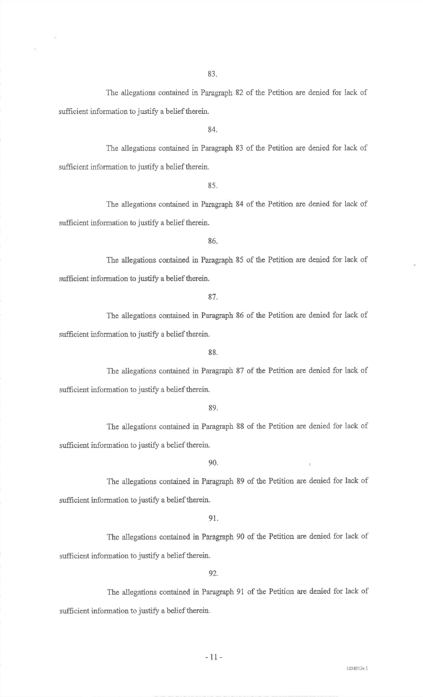The allegations contained in Paragraph 82 of the Petition are denied for lack ofsufficient information to justify a belief therein.

84.

The allegations contained in Paragraph 83 of the Petition are denied for lack ofsufficient information to justify a belief therein.

85.

The allegations contained in Paragraph 84 of the Petition are denied for lack of sufficient information to justify a belief therein.

86,

The allegations contained in Paragraph 85 of the Petition are denied for lack ofsufficient information to justify a belief therein.

87.

The allegations contained in Paragraph 86 of the Petition are denied for lack of sufficient information to justify a belief therein.

88.

The allegations contained in Paragraph 87 of the Petition are denied for lack of sufficient information to justify a belief therein.

89.

The allegations contained in Paragraph 88 of the Petition are denied for lack of sufficient information to justify a belief therein.

 $90.$ 

The allegations contained in Paragraph 89 of the Petition are denied for lack of sufficient information to justify a belief therein.

91.

The allegations contained in Paragraph 90 of the Petition are denied for lack of sufficient information to justify a belief therein.

92.

The allegations contained in Paragraph 91 of the Petition are denied for lack of sufficient information to justify a belief therein.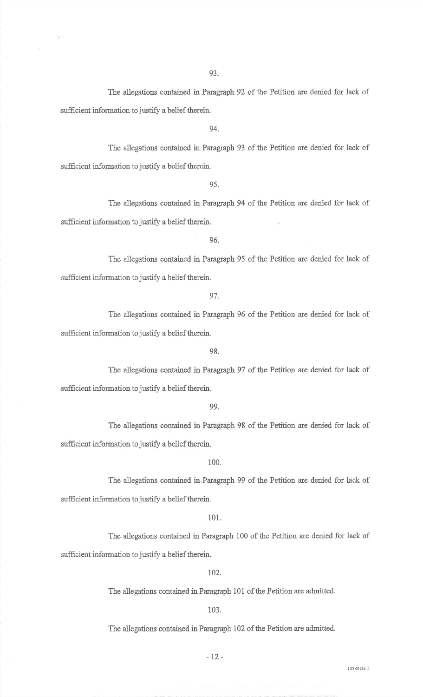The allegations contained in Faragraph 92 of the Petition are denied for lack ofsufficient information to justify a belief therein.

94.

The allegations contained in Paragraph 93 of the Petition are denied for lack ofsufficient information to justify a belief therein.

95.

The allegations contained in Paragraph 94 of the Petition are denied for lack ofsufficient information to justify a belief therein.

96.

The allegations contained in Paragraph 95 of the Petition are denied for lack ofsufficient information to justify a belief therein.

97.

The allegations contained in Paragraph 96 of the Petition are denied for lack ofsufficient information to justify a belief therein.

98.

The allegations contained in Paragraph 97 of the Petition are denied for lack ofsufficient information to justify a belief therein,

99.

The allegations contained in Paragraph 98 of the Petition are denied for lack ofsufficient information to justify a belief therein.

100.

The allegations containcd in.Paragraph 99 of the Petition are denied for lack ofsufficient information to justify a belief therein.

101.

The allegations contained in Paragraph 100 of the Petition are denied for lack ofsufficient information to justify a belief therein.

102.

The allegations contained in Paragraph 101 of the Petition are admitted.

103.

The allegations contained in Paragraph 102 of the Petition are admitted.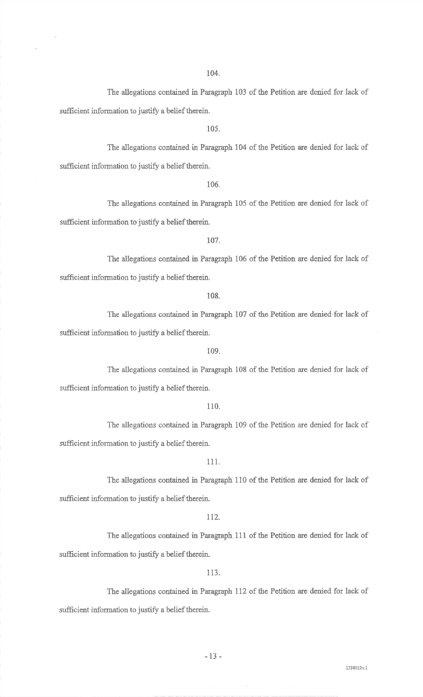The allegations contained in Paragraph 103 of the Petition are denied for lack ofsufficient information to justify a belief therein.

105.

The allegations contained in Paragraph 104 of the Petition are denied for lack ofsufficient information to justify a belief therein.

106,

The allegations contained in Paragraph 105 of the Petition are denied for lack ofsufficient information to justify a belief therein.

107.

Tbe allegations contained in Paragraph 106 of the Petition are denied for lack ofsufficient information to justify a belief therein.

108.

The allegations contained in Paragraph 107 of the Petition are denied.for lack ofsufficient information to justify a belief therein.

109.

The allegations contained in Paragraph i08 of the Petition are denied for lack ofsufficient information to justify a belief therein.

1 10.

The allegations contained in Paragraph 109 of the Petition are denied for lack ofsufficient information to justify a belief therein.

111.

The allegations contained in Paragraph 110 of the Petition are denied for lack ofsufficient information to justify a belief therein.

112.

The allegations contained in Paragraph 111 of the Petition are denied for lack ofsufficient information to justify a belief therein.

I 13.

The allegations contained in Paragraph 112 of the Petition are denied for lack of sufficient information to justify a belief therein.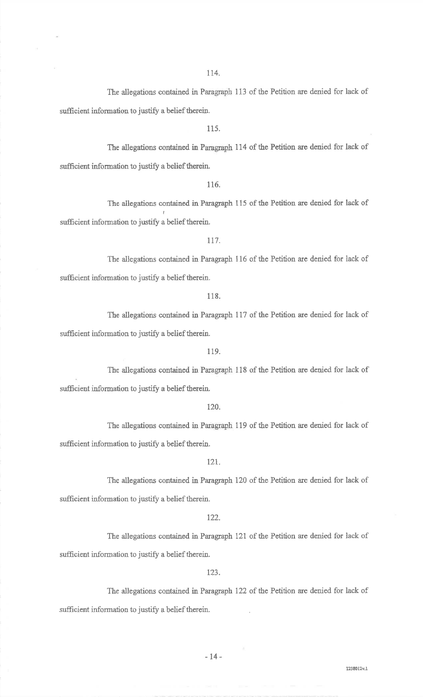The allegations contained in Paragraph 113 of the Petition are denied for lack of sufficient information to justify a belief therein.

1 15,

The allegations contained in Paragraph 114 of the Petition are denied for lack of sufficient information to justify a belief therein.

1 16.

The allegations contained in Paragraph 115 of the Petition are denied for lack ofsufficient information to justify a belief therein.

117.

The allegations contained in Paragraph 116 of the Petition are denied for lack ofsufficient information to justify a belief therein.

118.

The allegatiors contained in Paragraph 117 of the Petition are denied for lack ofsufficient information to justify a belief therein.

1 19.

The allegations contained in Paragraph 118 of the Petition are denied for lack ofsufficient information to justify a belief therein

120.

The allegations contained in Paragraph 119 of the Petition are denied for lack ofsufficient information to justify a belief therein.

121.

The allegations contained in Paragraph 120 of the Petition are denied for lack ofsufficient information to justify a belief therein.

122.

The allegations contained in Paragraph 121 of the Petition are denied for lack ofsufficient information to justify a belief therein.

123,

The allegations contained in Paragraph 122 of the Petition are denied for lack of sufficient information to justify a belief therein.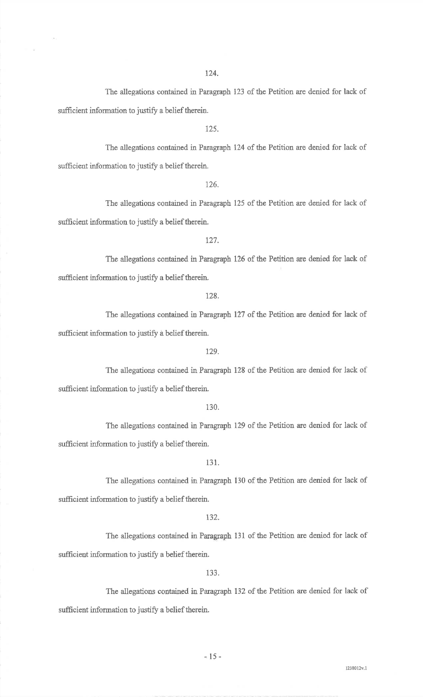The allegations contained in Paragraph 123 of the Petition are denied for lack ofsufficient information to justify a belief therein.

125.

The allegations contained in Paragraph 124 of the Petition are denied for lack ofsufficient information to justify a belief therein.

126.

The allegations contained in Paragraph 125 of the Petition are denied for lack ofsufficient information to justify a belief therein.

t27.

The allegations contained in Paragraph 126 of the Petition are denied for lack of sufficient information to justify a belief therein.

728.

The allegations contained in Paragraph 127 of the Petition are denied for lack of sufficient information to justify a belief therein.

L29.

The allegations contained in Paragraph 128 of the Petition are denied for lack ofsufficient information to justify a belief therein.

130.

The allegations contained in Paragraph 129 of the Petition are denied for lack ofsufficient information to justify a belief therein.

131.

The allegations contained in Paragraph 130 of the Petition are denied for lack ofsufficient information to justify a belief therein.

132.

The allegations contained in Paragraph 131 of the Petition are denied for lack of sufficient information to justify a belief therein.

133.

The allegations contained in Paragraph 132 of the Petition are denied for lack of sufficient information to justify a belief therein.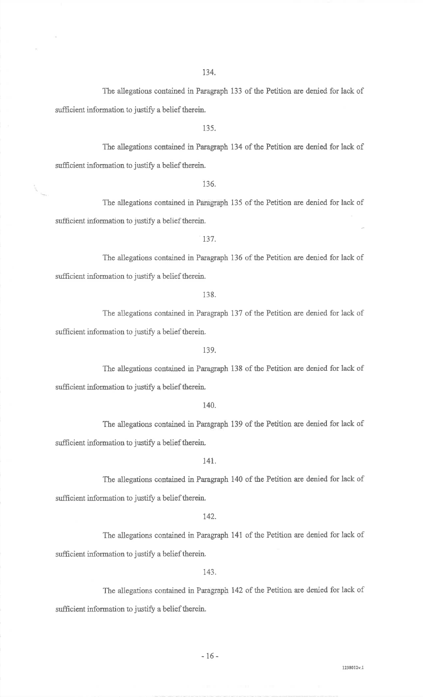The allegations contained in Paragraph 133 of the Petition are denied for lack of sufficient information to justify a belief therein.

135.

The allegations contained in Paragraph 134 of the Petition are denied for lack ofsufficient information to justify a belief therein.

136.

The allegations contained in Paragraph 135 of the Petition are denied for lack of sufficient information to justify a belief therein.

137.

The allegations contained in Paragraph 136 of the Petition are denied for lack ofsufficient information to justify a belief therein.

138.

The allegations contained in Paragraph 137 of the Petition are denied for lack of sufficient information to justify a belief therein.

139,

The allegations contained in Paragraph 138 of the Petition are denied for iack ofsufficient information to justify a belief therein

140.

The allegations contained in Paragraph 139 of the Petition are denied for lack of sufficient information to justify a belief therein.

#### t4t.

The allegations contained in Paragraph 140 of the Petition are denied for lack ofsufficient information to justify a belief therein.

142.

The allegations contained in Paragraph 141 of the Petition are denied for lack ofsufficient information to justify a belief therein.

143.

The allegations contained in Paragraph 142 of the Petition are denied for lack of sufficient information to justify a belief therein.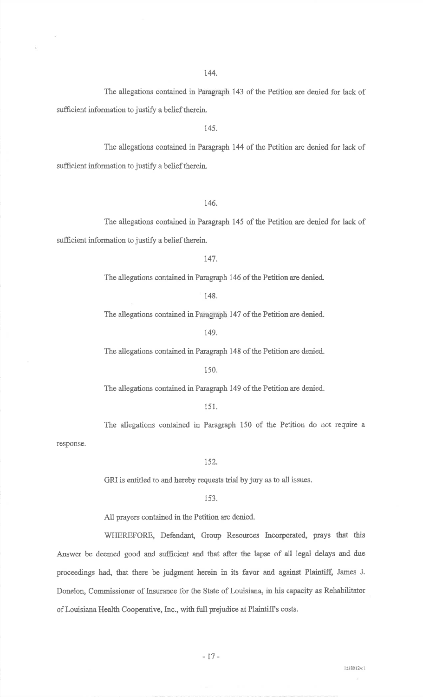The allegations contained in Paragraph 143 of the Petition are denied for lack ofsufficient information to justify a belief therein.

145.

The allegations contained in Paragraph 144 of the Petition are denied for lack ofsufficient information to justify a belief therein.

1.46.

The allegations contained in Paragraph 145 of the Petition are denied for lack ofsufficient information to justify a belief therein.

147.

The allegations contaired in Paragraph 146 of the Petition are denied.

148.

The allegations contained in Paragraph 147 of the Petition are denied.

149.

The aliegations contained in Paragraph 148 of the Petition are denied.

150.

The allegations contained in Paragraph 149 of the Petition are denied.

1s1.

The allegations contained in Paragraph 150 of the Petition do not require a response.

152.

GRI is entitled to and hereby requests triat by jury as to all issues.

153.

All prayers contained in the Petition are denied.

WHEREFORE, Defendant, Group Resources Incorporated, prays that this Answer be deemed good and sufficient and that after the lapse of all legal delays and due proceedings had, that there be judgment herein in its favor and against Plaintiff, Jarnes J. Donelon, Commissioner of Insurance for the State of Louisiana, in his capacity as Rehabilitator of Louisiana Health Cooperative, Inc., with full prejudice at Plaintiff's costs.